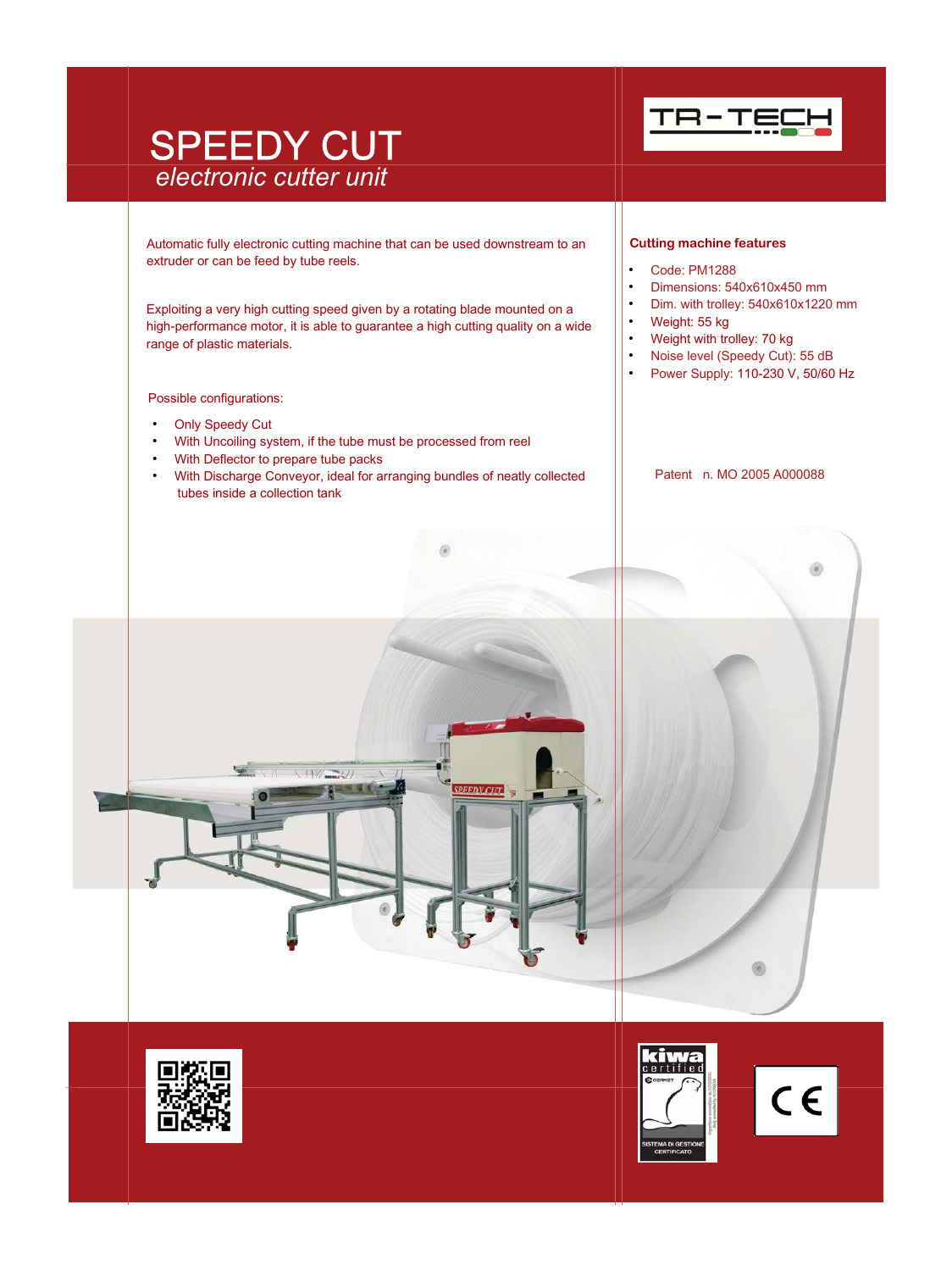